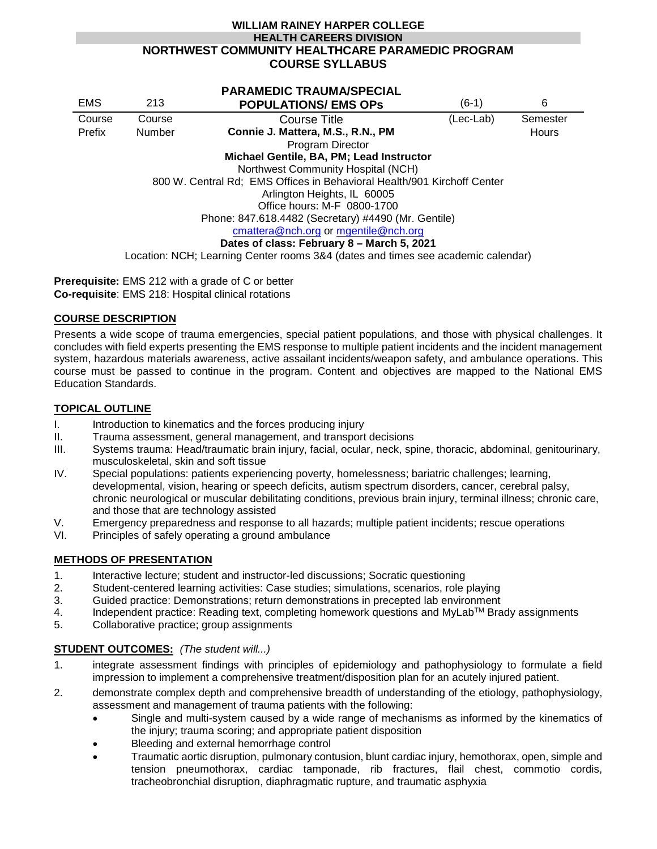## **WILLIAM RAINEY HARPER COLLEGE HEALTH CAREERS DIVISION NORTHWEST COMMUNITY HEALTHCARE PARAMEDIC PROGRAM COURSE SYLLABUS**

|                                                                                  |               | <b>PARAMEDIC TRAUMA/SPECIAL</b>   |           |          |
|----------------------------------------------------------------------------------|---------------|-----------------------------------|-----------|----------|
| <b>EMS</b>                                                                       | 213           | <b>POPULATIONS/ EMS OPS</b>       | $(6-1)$   | 6        |
| Course                                                                           | Course        | Course Title                      | (Lec-Lab) | Semester |
| Prefix                                                                           | <b>Number</b> | Connie J. Mattera, M.S., R.N., PM |           | Hours    |
|                                                                                  |               | Program Director                  |           |          |
| Michael Gentile, BA, PM; Lead Instructor                                         |               |                                   |           |          |
| Northwest Community Hospital (NCH)                                               |               |                                   |           |          |
| 800 W. Central Rd; EMS Offices in Behavioral Health/901 Kirchoff Center          |               |                                   |           |          |
| Arlington Heights, IL 60005                                                      |               |                                   |           |          |
| Office hours: M-F 0800-1700                                                      |               |                                   |           |          |
| Phone: 847.618.4482 (Secretary) #4490 (Mr. Gentile)                              |               |                                   |           |          |
| cmattera@nch.org or mgentile@nch.org                                             |               |                                   |           |          |
| Dates of class: February 8 - March 5, 2021                                       |               |                                   |           |          |
| Location: NCH; Learning Center rooms 3&4 (dates and times see academic calendar) |               |                                   |           |          |

**Prerequisite:** EMS 212 with a grade of C or better **Co-requisite**: EMS 218: Hospital clinical rotations

# **COURSE DESCRIPTION**

Presents a wide scope of trauma emergencies, special patient populations, and those with physical challenges. It concludes with field experts presenting the EMS response to multiple patient incidents and the incident management system, hazardous materials awareness, active assailant incidents/weapon safety, and ambulance operations. This course must be passed to continue in the program. Content and objectives are mapped to the National EMS Education Standards.

## **TOPICAL OUTLINE**

- I. Introduction to kinematics and the forces producing injury
- II. Trauma assessment, general management, and transport decisions<br>III. Systems trauma: Head/traumatic brain iniury, facial, ocular, neck, sp
- Systems trauma: Head/traumatic brain injury, facial, ocular, neck, spine, thoracic, abdominal, genitourinary, musculoskeletal, skin and soft tissue
- IV. Special populations: patients experiencing poverty, homelessness; bariatric challenges; learning, developmental, vision, hearing or speech deficits, autism spectrum disorders, cancer, cerebral palsy, chronic neurological or muscular debilitating conditions, previous brain injury, terminal illness; chronic care, and those that are technology assisted
- V. Emergency preparedness and response to all hazards; multiple patient incidents; rescue operations
- VI. Principles of safely operating a ground ambulance

## **METHODS OF PRESENTATION**

- 1. Interactive lecture; student and instructor-led discussions; Socratic questioning
- 2. Student-centered learning activities: Case studies; simulations, scenarios, role playing
- 3. Guided practice: Demonstrations; return demonstrations in precepted lab environment  $4 \text{ Independent practice}$ : Reading text, completing homework questions and MyLab<sup>TM</sup> Branch
- Independent practice: Reading text, completing homework questions and MyLab<sup>TM</sup> Brady assignments
- 5. Collaborative practice; group assignments

## **STUDENT OUTCOMES:** *(The student will...)*

- 1. integrate assessment findings with principles of epidemiology and pathophysiology to formulate a field impression to implement a comprehensive treatment/disposition plan for an acutely injured patient.
- 2. demonstrate complex depth and comprehensive breadth of understanding of the etiology, pathophysiology, assessment and management of trauma patients with the following:
	- Single and multi-system caused by a wide range of mechanisms as informed by the kinematics of the injury; trauma scoring; and appropriate patient disposition
	- Bleeding and external hemorrhage control
	- Traumatic aortic disruption, pulmonary contusion, blunt cardiac injury, hemothorax, open, simple and tension pneumothorax, cardiac tamponade, rib fractures, flail chest, commotio cordis, tracheobronchial disruption, diaphragmatic rupture, and traumatic asphyxia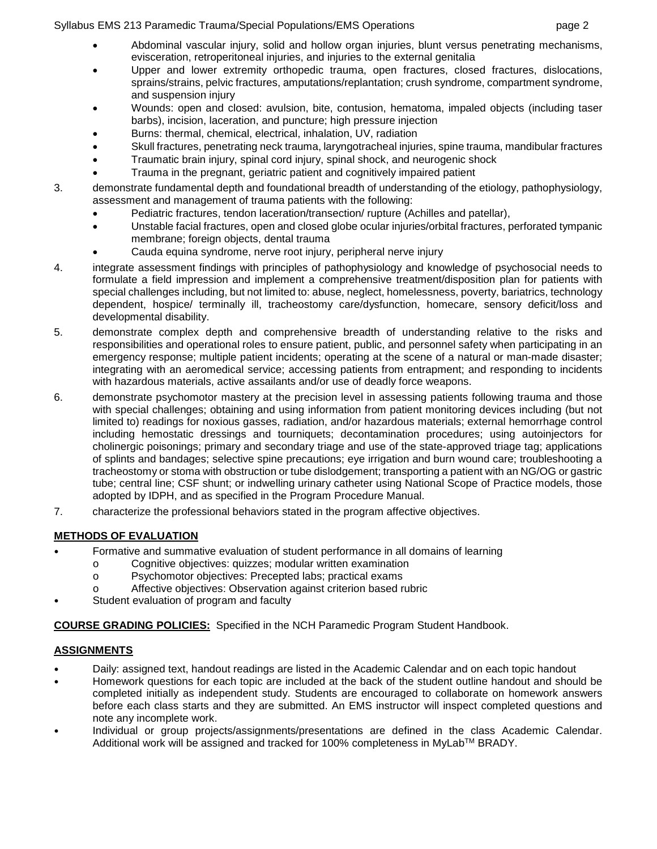## Syllabus EMS 213 Paramedic Trauma/Special Populations/EMS Operations page 2

- Abdominal vascular injury, solid and hollow organ injuries, blunt versus penetrating mechanisms, evisceration, retroperitoneal injuries, and injuries to the external genitalia
- Upper and lower extremity orthopedic trauma, open fractures, closed fractures, dislocations, sprains/strains, pelvic fractures, amputations/replantation; crush syndrome, compartment syndrome, and suspension injury
- Wounds: open and closed: avulsion, bite, contusion, hematoma, impaled objects (including taser barbs), incision, laceration, and puncture; high pressure injection
- Burns: thermal, chemical, electrical, inhalation, UV, radiation
- Skull fractures, penetrating neck trauma, laryngotracheal injuries, spine trauma, mandibular fractures
- Traumatic brain injury, spinal cord injury, spinal shock, and neurogenic shock
- Trauma in the pregnant, geriatric patient and cognitively impaired patient
- 3. demonstrate fundamental depth and foundational breadth of understanding of the etiology, pathophysiology, assessment and management of trauma patients with the following:
	- Pediatric fractures, tendon laceration/transection/ rupture (Achilles and patellar),
	- Unstable facial fractures, open and closed globe ocular injuries/orbital fractures, perforated tympanic membrane; foreign objects, dental trauma
	- Cauda equina syndrome, nerve root injury, peripheral nerve injury
- 4. integrate assessment findings with principles of pathophysiology and knowledge of psychosocial needs to formulate a field impression and implement a comprehensive treatment/disposition plan for patients with special challenges including, but not limited to: abuse, neglect, homelessness, poverty, bariatrics, technology dependent, hospice/ terminally ill, tracheostomy care/dysfunction, homecare, sensory deficit/loss and developmental disability.
- 5. demonstrate complex depth and comprehensive breadth of understanding relative to the risks and responsibilities and operational roles to ensure patient, public, and personnel safety when participating in an emergency response; multiple patient incidents; operating at the scene of a natural or man-made disaster; integrating with an aeromedical service; accessing patients from entrapment; and responding to incidents with hazardous materials, active assailants and/or use of deadly force weapons.
- 6. demonstrate psychomotor mastery at the precision level in assessing patients following trauma and those with special challenges; obtaining and using information from patient monitoring devices including (but not limited to) readings for noxious gasses, radiation, and/or hazardous materials; external hemorrhage control including hemostatic dressings and tourniquets; decontamination procedures; using autoinjectors for cholinergic poisonings; primary and secondary triage and use of the state-approved triage tag; applications of splints and bandages; selective spine precautions; eye irrigation and burn wound care; troubleshooting a tracheostomy or stoma with obstruction or tube dislodgement; transporting a patient with an NG/OG or gastric tube; central line; CSF shunt; or indwelling urinary catheter using National Scope of Practice models, those adopted by IDPH, and as specified in the Program Procedure Manual.
- 7. characterize the professional behaviors stated in the program affective objectives.

# **METHODS OF EVALUATION**

- Formative and summative evaluation of student performance in all domains of learning
	- o Cognitive objectives: quizzes; modular written examination<br>
	o Psychomotor objectives: Precepted labs: practical exams
	- Psychomotor objectives: Precepted labs; practical exams
	- o Affective objectives: Observation against criterion based rubric
- Student evaluation of program and faculty

**COURSE GRADING POLICIES:** Specified in the NCH Paramedic Program Student Handbook.

# **ASSIGNMENTS**

- Daily: assigned text, handout readings are listed in the Academic Calendar and on each topic handout
- Homework questions for each topic are included at the back of the student outline handout and should be completed initially as independent study. Students are encouraged to collaborate on homework answers before each class starts and they are submitted. An EMS instructor will inspect completed questions and note any incomplete work.
- Individual or group projects/assignments/presentations are defined in the class Academic Calendar. Additional work will be assigned and tracked for 100% completeness in MyLab™ BRADY.